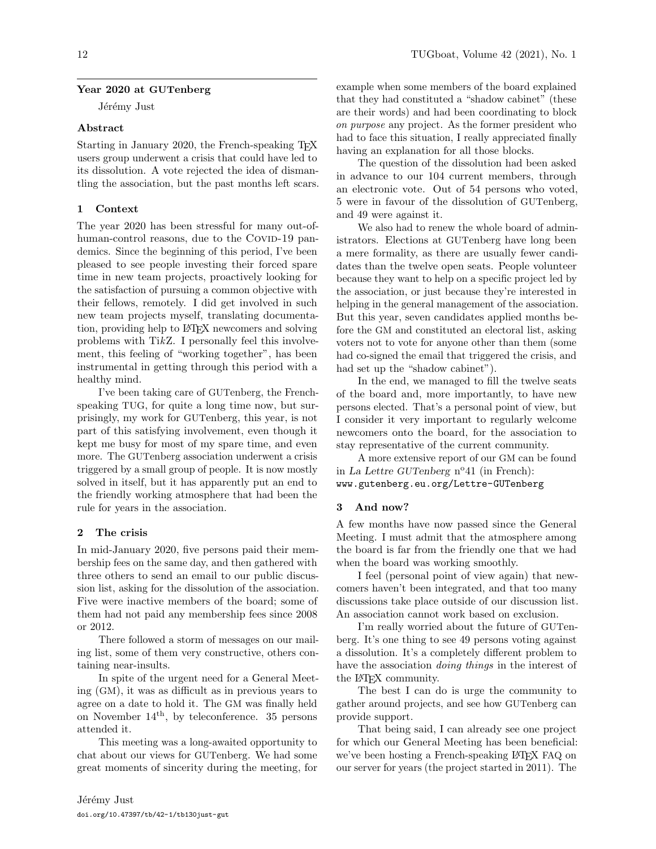## Year 2020 at GUTenberg

Jérémy Just

#### Abstract

Starting in January 2020, the French-speaking T<sub>E</sub>X users group underwent a crisis that could have led to its dissolution. A vote rejected the idea of dismantling the association, but the past months left scars.

### 1 Context

The year 2020 has been stressful for many out-ofhuman-control reasons, due to the COVID-19 pandemics. Since the beginning of this period, I've been pleased to see people investing their forced spare time in new team projects, proactively looking for the satisfaction of pursuing a common objective with their fellows, remotely. I did get involved in such new team projects myself, translating documentation, providing help to LATEX newcomers and solving problems with TikZ. I personally feel this involvement, this feeling of "working together", has been instrumental in getting through this period with a healthy mind.

I've been taking care of GUTenberg, the Frenchspeaking TUG, for quite a long time now, but surprisingly, my work for GUTenberg, this year, is not part of this satisfying involvement, even though it kept me busy for most of my spare time, and even more. The GUTenberg association underwent a crisis triggered by a small group of people. It is now mostly solved in itself, but it has apparently put an end to the friendly working atmosphere that had been the rule for years in the association.

#### 2 The crisis

In mid-January 2020, five persons paid their membership fees on the same day, and then gathered with three others to send an email to our public discussion list, asking for the dissolution of the association. Five were inactive members of the board; some of them had not paid any membership fees since 2008 or 2012.

There followed a storm of messages on our mailing list, some of them very constructive, others containing near-insults.

In spite of the urgent need for a General Meeting (GM), it was as difficult as in previous years to agree on a date to hold it. The GM was finally held on November 14th, by teleconference. 35 persons attended it.

This meeting was a long-awaited opportunity to chat about our views for GUTenberg. We had some great moments of sincerity during the meeting, for

example when some members of the board explained that they had constituted a "shadow cabinet" (these are their words) and had been coordinating to block on purpose any project. As the former president who had to face this situation, I really appreciated finally having an explanation for all those blocks.

The question of the dissolution had been asked in advance to our 104 current members, through an electronic vote. Out of 54 persons who voted, 5 were in favour of the dissolution of GUTenberg, and 49 were against it.

We also had to renew the whole board of administrators. Elections at GUTenberg have long been a mere formality, as there are usually fewer candidates than the twelve open seats. People volunteer because they want to help on a specific project led by the association, or just because they're interested in helping in the general management of the association. But this year, seven candidates applied months before the GM and constituted an electoral list, asking voters not to vote for anyone other than them (some had co-signed the email that triggered the crisis, and had set up the "shadow cabinet").

In the end, we managed to fill the twelve seats of the board and, more importantly, to have new persons elected. That's a personal point of view, but I consider it very important to regularly welcome newcomers onto the board, for the association to stay representative of the current community.

A more extensive report of our GM can be found in La Lettre GUTenberg nº41 (in French): [www.gutenberg.eu.org/Lettre-GUTenberg](https://www.gutenberg.eu.org/Lettre-GUTenberg)

## 3 And now?

A few months have now passed since the General Meeting. I must admit that the atmosphere among the board is far from the friendly one that we had when the board was working smoothly.

I feel (personal point of view again) that newcomers haven't been integrated, and that too many discussions take place outside of our discussion list. An association cannot work based on exclusion.

I'm really worried about the future of GUTenberg. It's one thing to see 49 persons voting against a dissolution. It's a completely different problem to have the association *doing things* in the interest of the LATEX community.

The best I can do is urge the community to gather around projects, and see how GUTenberg can provide support.

That being said, I can already see one project for which our General Meeting has been beneficial: we've been hosting a French-speaking LAT<sub>F</sub>X FAQ on our server for years (the project started in 2011). The